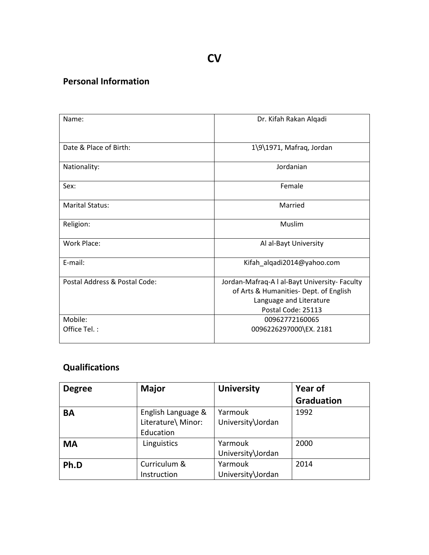### **Personal Information**

| Name:                         | Dr. Kifah Rakan Alqadi                                                                                                                   |
|-------------------------------|------------------------------------------------------------------------------------------------------------------------------------------|
| Date & Place of Birth:        | 1\9\1971, Mafraq, Jordan                                                                                                                 |
| Nationality:                  | Jordanian                                                                                                                                |
| Sex:                          | Female                                                                                                                                   |
| <b>Marital Status:</b>        | Married                                                                                                                                  |
| Religion:                     | Muslim                                                                                                                                   |
| Work Place:                   | Al al-Bayt University                                                                                                                    |
| E-mail:                       | Kifah_alqadi2014@yahoo.com                                                                                                               |
| Postal Address & Postal Code: | Jordan-Mafraq-A I al-Bayt University- Faculty<br>of Arts & Humanities- Dept. of English<br>Language and Literature<br>Postal Code: 25113 |
| Mobile:<br>Office Tel.:       | 00962772160065<br>0096226297000\EX. 2181                                                                                                 |

# **Qualifications**

| <b>Degree</b> | <b>Major</b>       | <b>University</b> | Year of           |
|---------------|--------------------|-------------------|-------------------|
|               |                    |                   | <b>Graduation</b> |
| <b>BA</b>     | English Language & | Yarmouk           | 1992              |
|               | Literature\ Minor: | University\Jordan |                   |
|               | Education          |                   |                   |
| <b>MA</b>     | Linguistics        | Yarmouk           | 2000              |
|               |                    | University\Jordan |                   |
| Ph.D          | Curriculum &       | Yarmouk           | 2014              |
|               | Instruction        | University\Jordan |                   |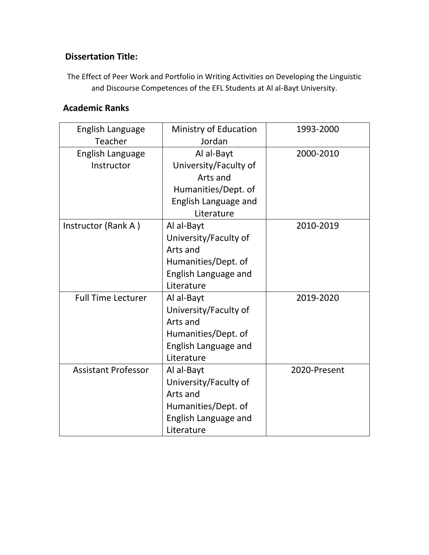#### **Dissertation Title:**

The Effect of Peer Work and Portfolio in Writing Activities on Developing the Linguistic and Discourse Competences of the EFL Students at Al al-Bayt University.

### **Academic Ranks**

| English Language<br>Teacher    | Ministry of Education<br>Jordan                                                                              | 1993-2000    |
|--------------------------------|--------------------------------------------------------------------------------------------------------------|--------------|
| English Language<br>Instructor | Al al-Bayt<br>University/Faculty of<br>Arts and<br>Humanities/Dept. of<br>English Language and<br>Literature | 2000-2010    |
| Instructor (Rank A)            | Al al-Bayt<br>University/Faculty of<br>Arts and<br>Humanities/Dept. of<br>English Language and<br>Literature | 2010-2019    |
| <b>Full Time Lecturer</b>      | Al al-Bayt<br>University/Faculty of<br>Arts and<br>Humanities/Dept. of<br>English Language and<br>Literature | 2019-2020    |
| <b>Assistant Professor</b>     | Al al-Bayt<br>University/Faculty of<br>Arts and<br>Humanities/Dept. of<br>English Language and<br>Literature | 2020-Present |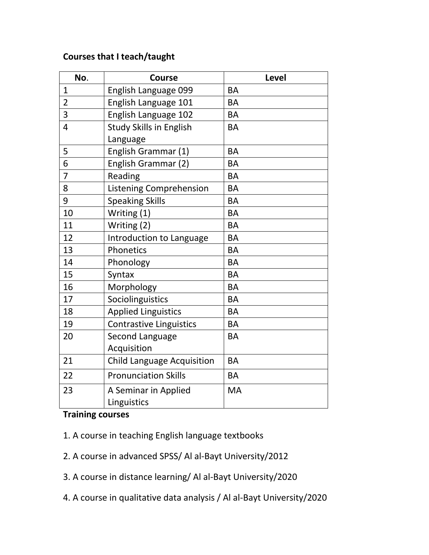#### **Courses that I teach/taught**

| No.            | <b>Course</b>                       | <b>Level</b> |
|----------------|-------------------------------------|--------------|
| 1              | English Language 099                | <b>BA</b>    |
| $\overline{2}$ | English Language 101                | <b>BA</b>    |
| 3              | English Language 102                | <b>BA</b>    |
| 4              | <b>Study Skills in English</b>      | <b>BA</b>    |
|                | Language                            |              |
| 5              | English Grammar (1)                 | <b>BA</b>    |
| 6              | English Grammar (2)                 | <b>BA</b>    |
| $\overline{7}$ | Reading                             | <b>BA</b>    |
| 8              | <b>Listening Comprehension</b>      | <b>BA</b>    |
| 9              | <b>Speaking Skills</b>              | <b>BA</b>    |
| 10             | Writing (1)                         | <b>BA</b>    |
| 11             | Writing (2)                         | <b>BA</b>    |
| 12             | Introduction to Language            | <b>BA</b>    |
| 13             | Phonetics                           | <b>BA</b>    |
| 14             | Phonology                           | <b>BA</b>    |
| 15             | Syntax                              | <b>BA</b>    |
| 16             | Morphology                          | <b>BA</b>    |
| 17             | Sociolinguistics                    | <b>BA</b>    |
| 18             | <b>Applied Linguistics</b>          | <b>BA</b>    |
| 19             | <b>Contrastive Linguistics</b>      | <b>BA</b>    |
| 20             | Second Language                     | <b>BA</b>    |
|                | Acquisition                         |              |
| 21             | <b>Child Language Acquisition</b>   | <b>BA</b>    |
| 22             | <b>Pronunciation Skills</b>         | <b>BA</b>    |
| 23             | A Seminar in Applied<br>Linguistics | <b>MA</b>    |

### **Training courses**

- 1. A course in teaching English language textbooks
- 2. A course in advanced SPSS/ Al al-Bayt University/2012
- 3. A course in distance learning/ Al al-Bayt University/2020
- 4. A course in qualitative data analysis / Al al-Bayt University/2020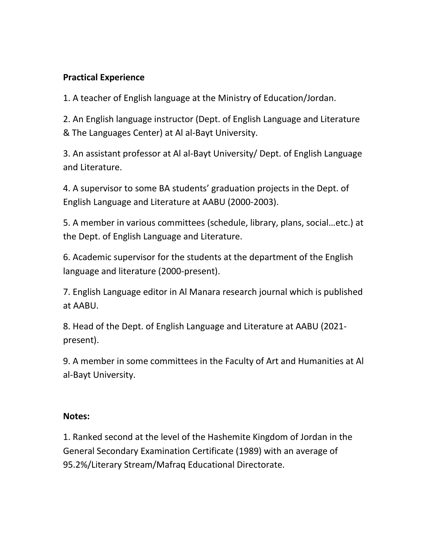### **Practical Experience**

1. A teacher of English language at the Ministry of Education/Jordan.

2. An English language instructor (Dept. of English Language and Literature & The Languages Center) at Al al-Bayt University.

3. An assistant professor at Al al-Bayt University/ Dept. of English Language and Literature.

4. A supervisor to some BA students' graduation projects in the Dept. of English Language and Literature at AABU (2000-2003).

5. A member in various committees (schedule, library, plans, social…etc.) at the Dept. of English Language and Literature.

6. Academic supervisor for the students at the department of the English language and literature (2000-present).

7. English Language editor in Al Manara research journal which is published at AABU.

8. Head of the Dept. of English Language and Literature at AABU (2021 present).

9. A member in some committees in the Faculty of Art and Humanities at Al al-Bayt University.

#### **Notes:**

1. Ranked second at the level of the Hashemite Kingdom of Jordan in the General Secondary Examination Certificate (1989) with an average of 95.2%/Literary Stream/Mafraq Educational Directorate.